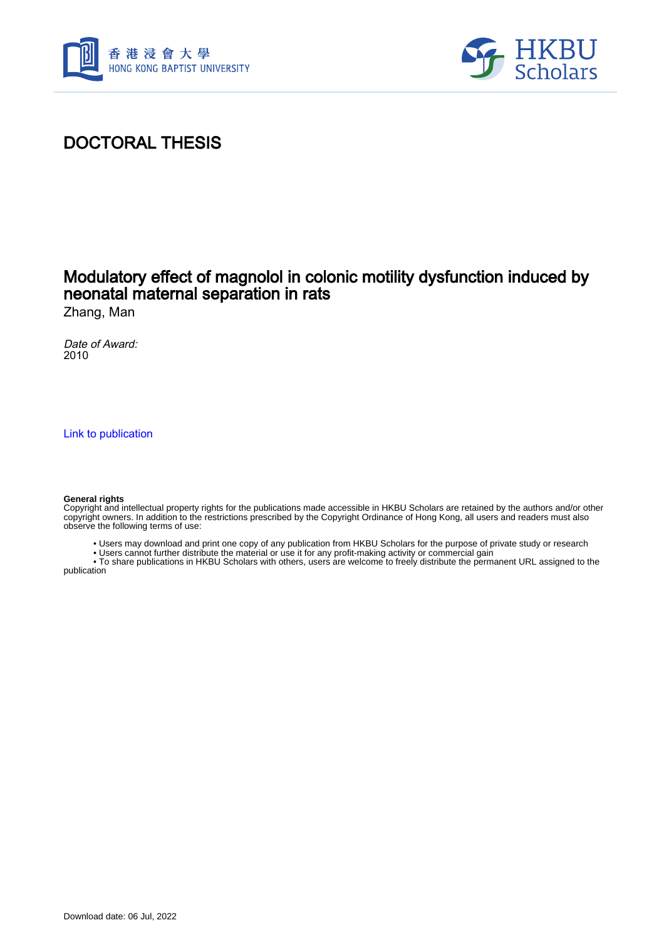



## DOCTORAL THESIS

## Modulatory effect of magnolol in colonic motility dysfunction induced by neonatal maternal separation in rats

Zhang, Man

Date of Award: 2010

[Link to publication](https://scholars.hkbu.edu.hk/en/studentTheses/7106ac11-895f-46b9-ae07-b1a84f0de51b)

#### **General rights**

Copyright and intellectual property rights for the publications made accessible in HKBU Scholars are retained by the authors and/or other copyright owners. In addition to the restrictions prescribed by the Copyright Ordinance of Hong Kong, all users and readers must also observe the following terms of use:

- Users may download and print one copy of any publication from HKBU Scholars for the purpose of private study or research
- Users cannot further distribute the material or use it for any profit-making activity or commercial gain

 • To share publications in HKBU Scholars with others, users are welcome to freely distribute the permanent URL assigned to the publication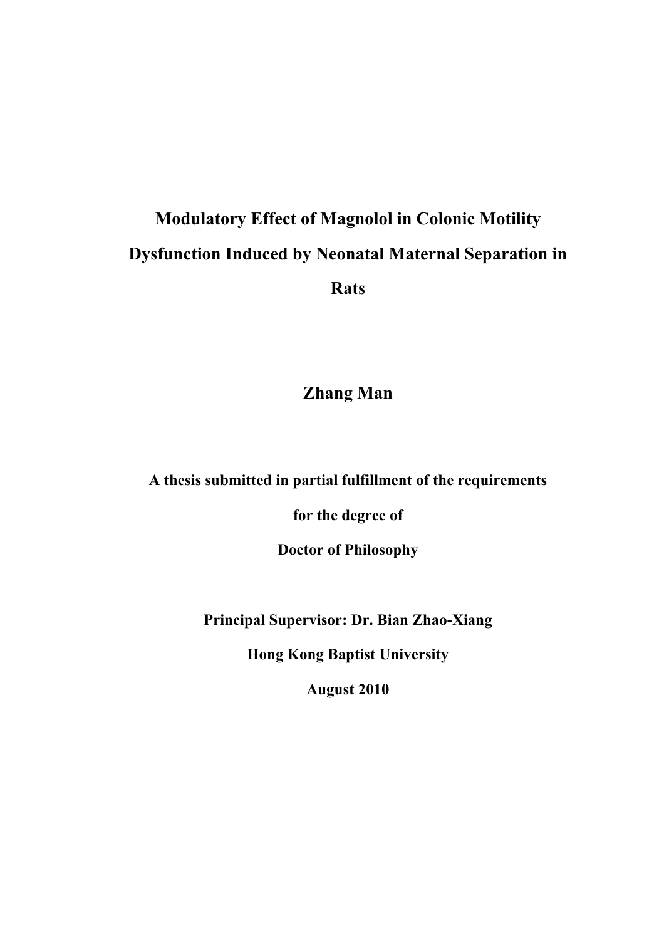# **Modulatory Effect of Magnolol in Colonic Motility Dysfunction Induced by Neonatal Maternal Separation in Rats**

**Zhang Man** 

**A thesis submitted in partial fulfillment of the requirements** 

**for the degree of** 

**Doctor of Philosophy** 

**Principal Supervisor: Dr. Bian Zhao-Xiang** 

**Hong Kong Baptist University** 

**August 2010**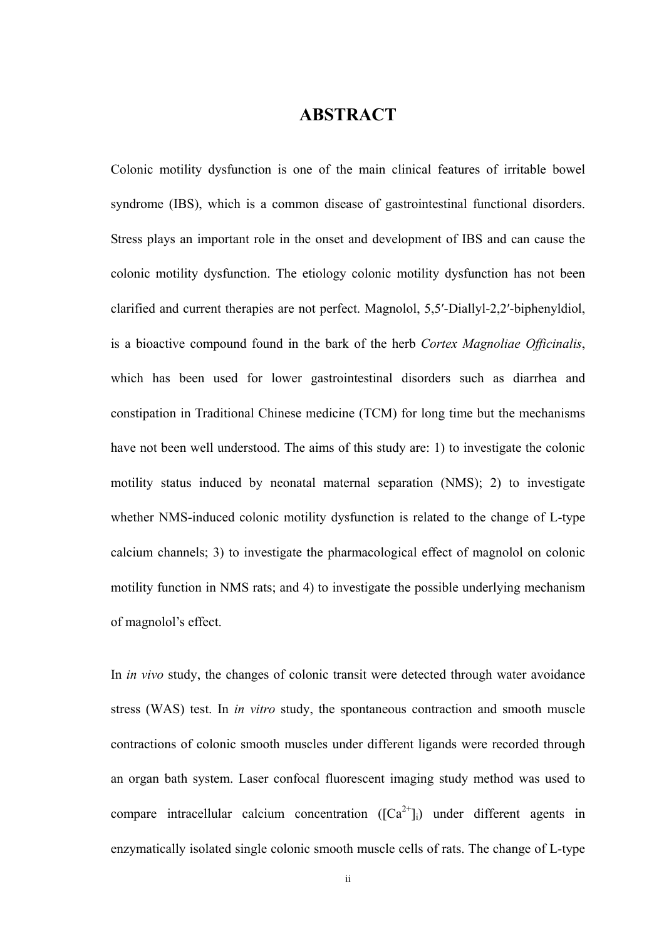### **ABSTRACT**

Colonic motility dysfunction is one of the main clinical features of irritable bowel syndrome (IBS), which is a common disease of gastrointestinal functional disorders. Stress plays an important role in the onset and development of IBS and can cause the colonic motility dysfunction. The etiology colonic motility dysfunction has not been clarified and current therapies are not perfect. Magnolol, 5,5′-Diallyl-2,2′-biphenyldiol, is a bioactive compound found in the bark of the herb *Cortex Magnoliae Officinalis*, which has been used for lower gastrointestinal disorders such as diarrhea and constipation in Traditional Chinese medicine (TCM) for long time but the mechanisms have not been well understood. The aims of this study are: 1) to investigate the colonic motility status induced by neonatal maternal separation (NMS); 2) to investigate whether NMS-induced colonic motility dysfunction is related to the change of L-type calcium channels; 3) to investigate the pharmacological effect of magnolol on colonic motility function in NMS rats; and 4) to investigate the possible underlying mechanism of magnolol's effect.

In *in vivo* study, the changes of colonic transit were detected through water avoidance stress (WAS) test. In *in vitro* study, the spontaneous contraction and smooth muscle contractions of colonic smooth muscles under different ligands were recorded through an organ bath system. Laser confocal fluorescent imaging study method was used to compare intracellular calcium concentration  $(\text{[Ca}^{2+})$  under different agents in enzymatically isolated single colonic smooth muscle cells of rats. The change of L-type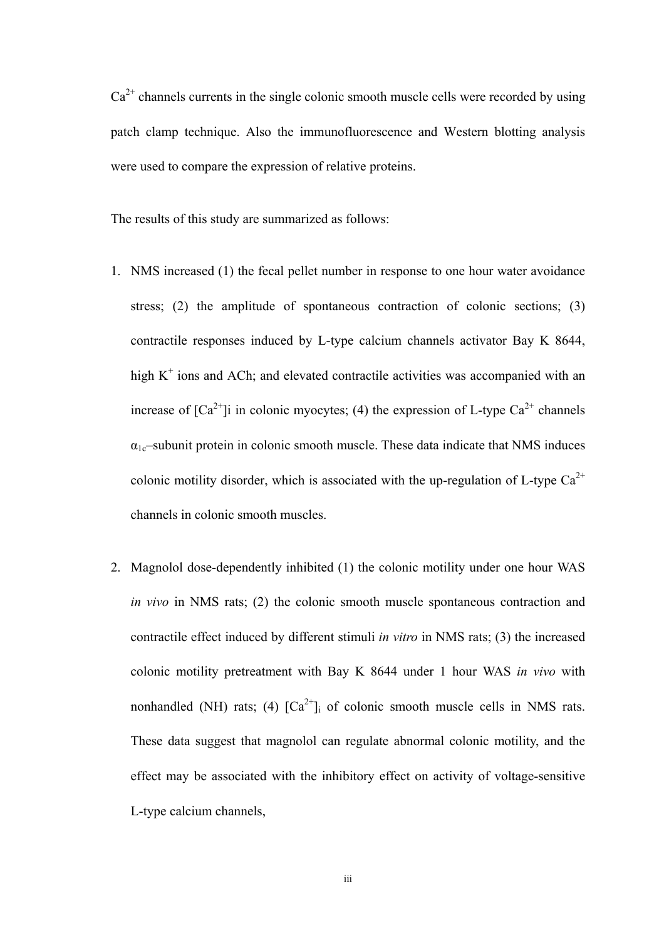$Ca<sup>2+</sup>$  channels currents in the single colonic smooth muscle cells were recorded by using patch clamp technique. Also the immunofluorescence and Western blotting analysis were used to compare the expression of relative proteins.

The results of this study are summarized as follows:

- 1. NMS increased (1) the fecal pellet number in response to one hour water avoidance stress; (2) the amplitude of spontaneous contraction of colonic sections; (3) contractile responses induced by L-type calcium channels activator Bay K 8644, high  $K^+$  ions and ACh; and elevated contractile activities was accompanied with an increase of  $[Ca^{2+}]}i$  in colonic myocytes; (4) the expression of L-type  $Ca^{2+}$  channels  $\alpha_{1c}$ –subunit protein in colonic smooth muscle. These data indicate that NMS induces colonic motility disorder, which is associated with the up-regulation of L-type  $Ca^{2+}$ channels in colonic smooth muscles.
- 2. Magnolol dose-dependently inhibited (1) the colonic motility under one hour WAS *in vivo* in NMS rats; (2) the colonic smooth muscle spontaneous contraction and contractile effect induced by different stimuli *in vitro* in NMS rats; (3) the increased colonic motility pretreatment with Bay K 8644 under 1 hour WAS *in vivo* with nonhandled (NH) rats; (4)  $[Ca^{2+}]\text{i}$  of colonic smooth muscle cells in NMS rats. These data suggest that magnolol can regulate abnormal colonic motility, and the effect may be associated with the inhibitory effect on activity of voltage-sensitive L-type calcium channels,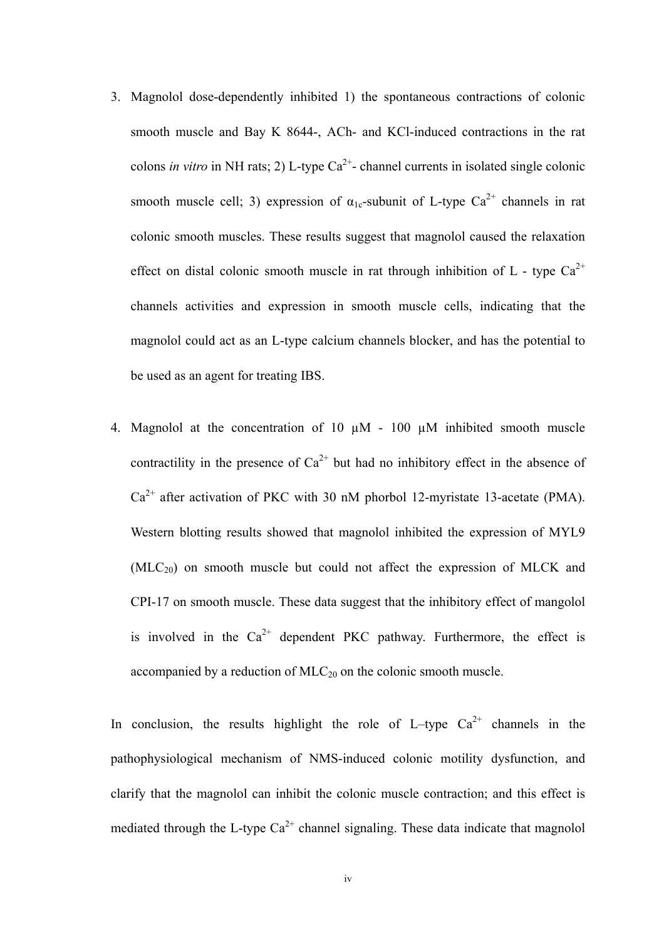- 3. Magnolol dose-dependently inhibited 1) the spontaneous contractions of colonic smooth muscle and Bay K 8644-, ACh- and KCl-induced contractions in the rat colons *in vitro* in NH rats; 2) L-type  $Ca^{2+}$ - channel currents in isolated single colonic smooth muscle cell; 3) expression of  $\alpha_{1c}$ -subunit of L-type Ca<sup>2+</sup> channels in rat colonic smooth muscles. These results suggest that magnolol caused the relaxation effect on distal colonic smooth muscle in rat through inhibition of L - type  $Ca^{2+}$ channels activities and expression in smooth muscle cells, indicating that the magnolol could act as an L-type calcium channels blocker, and has the potential to be used as an agent for treating IBS.
- 4. Magnolol at the concentration of 10  $\mu$ M 100  $\mu$ M inhibited smooth muscle contractility in the presence of  $Ca^{2+}$  but had no inhibitory effect in the absence of  $Ca<sup>2+</sup>$  after activation of PKC with 30 nM phorbol 12-myristate 13-acetate (PMA). Western blotting results showed that magnolol inhibited the expression of MYL9  $(MLC_{20})$  on smooth muscle but could not affect the expression of MLCK and CPI-17 on smooth muscle. These data suggest that the inhibitory effect of mangolol is involved in the  $Ca^{2+}$  dependent PKC pathway. Furthermore, the effect is accompanied by a reduction of  $MLC_{20}$  on the colonic smooth muscle.

In conclusion, the results highlight the role of L–type  $Ca^{2+}$  channels in the pathophysiological mechanism of NMS-induced colonic motility dysfunction, and clarify that the magnolol can inhibit the colonic muscle contraction; and this effect is mediated through the L-type  $Ca^{2+}$  channel signaling. These data indicate that magnolol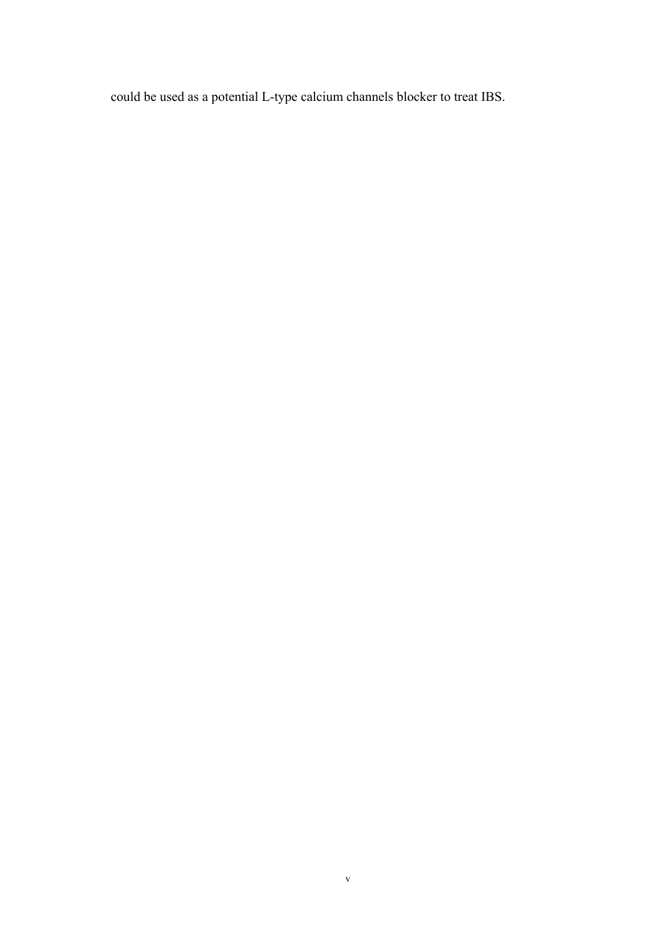could be used as a potential L-type calcium channels blocker to treat IBS.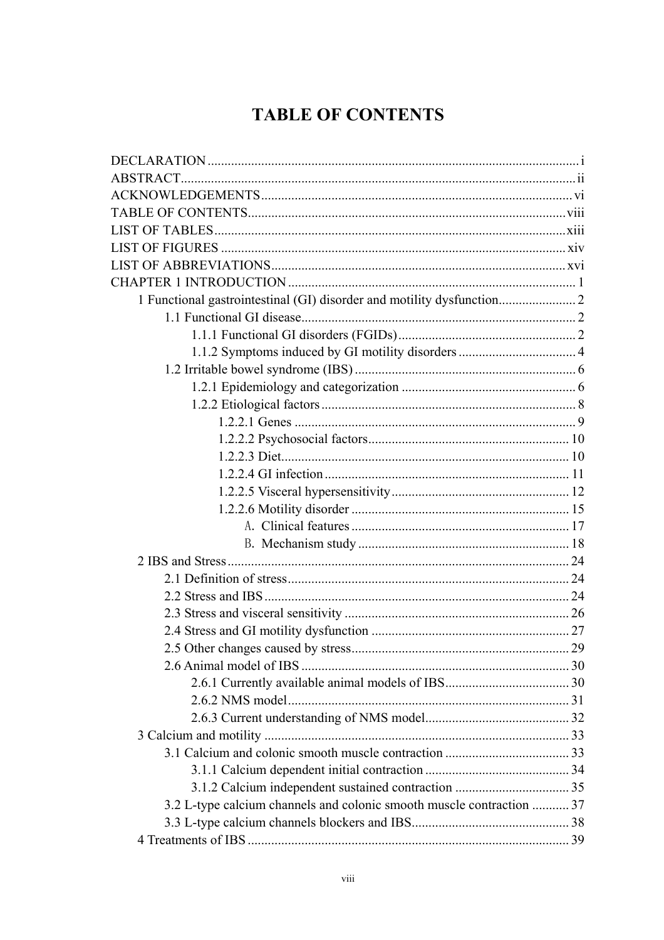## **TABLE OF CONTENTS**

| 3.2 L-type calcium channels and colonic smooth muscle contraction  37 |  |
|-----------------------------------------------------------------------|--|
|                                                                       |  |
|                                                                       |  |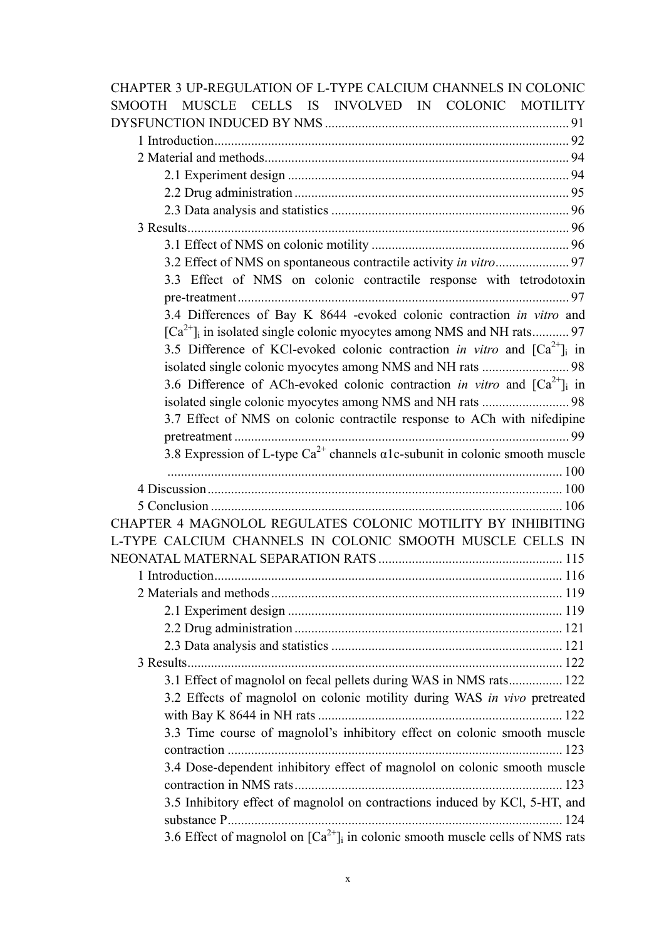| CHAPTER 3 UP-REGULATION OF L-TYPE CALCIUM CHANNELS IN COLONIC                             |
|-------------------------------------------------------------------------------------------|
| MUSCLE CELLS IS INVOLVED IN COLONIC MOTILITY<br>SMOOTH-                                   |
|                                                                                           |
|                                                                                           |
|                                                                                           |
|                                                                                           |
|                                                                                           |
|                                                                                           |
|                                                                                           |
|                                                                                           |
|                                                                                           |
| 3.3 Effect of NMS on colonic contractile response with tetrodotoxin                       |
|                                                                                           |
| 3.4 Differences of Bay K 8644 -evoked colonic contraction in vitro and                    |
|                                                                                           |
| 3.5 Difference of KCl-evoked colonic contraction in vitro and $\lbrack Ca^{2+}\rbrack$ in |
| isolated single colonic myocytes among NMS and NH rats  98                                |
| 3.6 Difference of ACh-evoked colonic contraction in vitro and $\lbrack Ca^{2+}\rbrack$ in |
| isolated single colonic myocytes among NMS and NH rats  98                                |
| 3.7 Effect of NMS on colonic contractile response to ACh with nifedipine                  |
|                                                                                           |
| 3.8 Expression of L-type $Ca^{2+}$ channels $\alpha$ 1c-subunit in colonic smooth muscle  |
|                                                                                           |
|                                                                                           |
|                                                                                           |
| CHAPTER 4 MAGNOLOL REGULATES COLONIC MOTILITY BY INHIBITING                               |
| L-TYPE CALCIUM CHANNELS IN COLONIC SMOOTH MUSCLE CELLS IN                                 |
|                                                                                           |
|                                                                                           |
|                                                                                           |
|                                                                                           |
|                                                                                           |
|                                                                                           |
|                                                                                           |
| 3.1 Effect of magnolol on fecal pellets during WAS in NMS rats 122                        |
| 3.2 Effects of magnolol on colonic motility during WAS in vivo pretreated                 |
|                                                                                           |
| 3.3 Time course of magnolol's inhibitory effect on colonic smooth muscle                  |
|                                                                                           |
| 3.4 Dose-dependent inhibitory effect of magnolol on colonic smooth muscle                 |
|                                                                                           |
| 3.5 Inhibitory effect of magnolol on contractions induced by KCl, 5-HT, and               |
|                                                                                           |
| 3.6 Effect of magnolol on $[Ca^{2+}]_i$ in colonic smooth muscle cells of NMS rats        |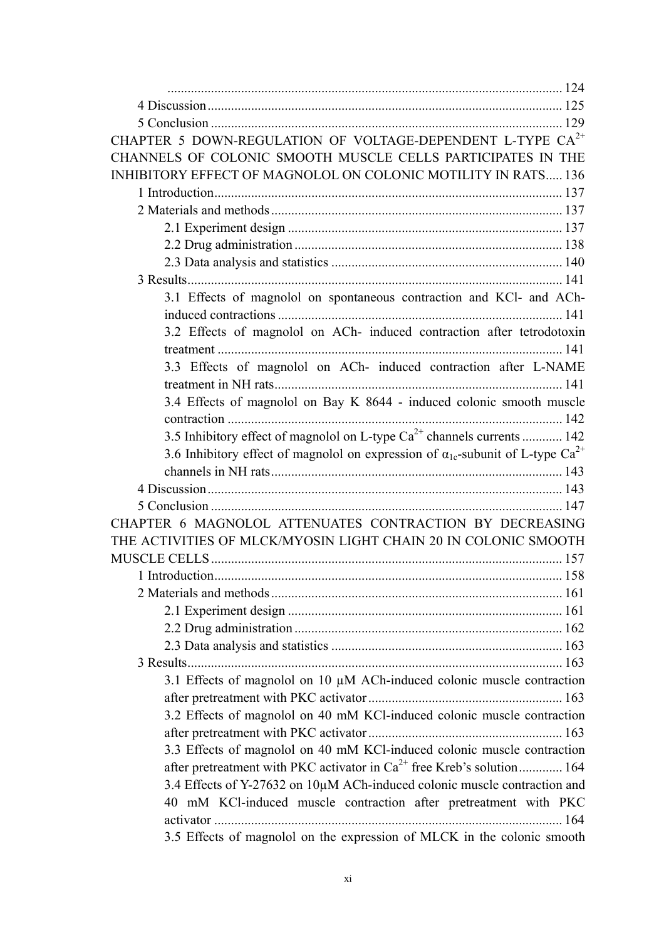| CHAPTER 5 DOWN-REGULATION OF VOLTAGE-DEPENDENT L-TYPE CA <sup>2+</sup>                               |
|------------------------------------------------------------------------------------------------------|
| CHANNELS OF COLONIC SMOOTH MUSCLE CELLS PARTICIPATES IN THE                                          |
| <b>INHIBITORY EFFECT OF MAGNOLOL ON COLONIC MOTILITY IN RATS 136</b>                                 |
|                                                                                                      |
|                                                                                                      |
|                                                                                                      |
|                                                                                                      |
|                                                                                                      |
|                                                                                                      |
| 3.1 Effects of magnolol on spontaneous contraction and KCl- and ACh-                                 |
|                                                                                                      |
| 3.2 Effects of magnolol on ACh- induced contraction after tetrodotoxin                               |
|                                                                                                      |
| 3.3 Effects of magnolol on ACh- induced contraction after L-NAME                                     |
|                                                                                                      |
| 3.4 Effects of magnolol on Bay K 8644 - induced colonic smooth muscle                                |
|                                                                                                      |
| 3.5 Inhibitory effect of magnolol on L-type $Ca^{2+}$ channels currents  142                         |
| 3.6 Inhibitory effect of magnolol on expression of $\alpha_{1c}$ -subunit of L-type Ca <sup>2+</sup> |
|                                                                                                      |
|                                                                                                      |
|                                                                                                      |
| CHAPTER 6 MAGNOLOL ATTENUATES CONTRACTION BY DECREASING                                              |
| THE ACTIVITIES OF MLCK/MYOSIN LIGHT CHAIN 20 IN COLONIC SMOOTH                                       |
|                                                                                                      |
|                                                                                                      |
|                                                                                                      |
|                                                                                                      |
|                                                                                                      |
|                                                                                                      |
|                                                                                                      |
| 3.1 Effects of magnolol on 10 µM ACh-induced colonic muscle contraction                              |
|                                                                                                      |
| 3.2 Effects of magnolol on 40 mM KCl-induced colonic muscle contraction                              |
|                                                                                                      |
| 3.3 Effects of magnolol on 40 mM KCl-induced colonic muscle contraction                              |
| after pretreatment with PKC activator in $Ca^{2+}$ free Kreb's solution 164                          |
| 3.4 Effects of Y-27632 on 10µM ACh-induced colonic muscle contraction and                            |
|                                                                                                      |
| 40 mM KCl-induced muscle contraction after pretreatment with PKC                                     |
|                                                                                                      |
| 3.5 Effects of magnolol on the expression of MLCK in the colonic smooth                              |